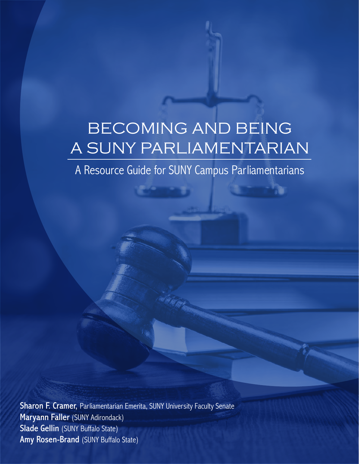# BECOMING AND BEING A SUNY PARLIAMENTARIAN

A Resource Guide for SUNY Campus Parliamentarians

Sharon F. Cramer, Parliamentarian Emerita, SUNY University Faculty Senate Maryann Faller (SUNY Adirondack) Slade Gellin (SUNY Buffalo State) Amy Rosen-Brand (SUNY Buffalo State)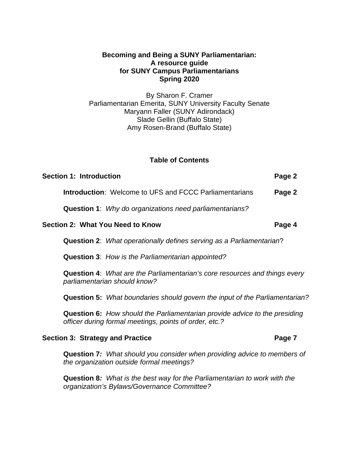#### **Becoming and Being a SUNY Parliamentarian: A resource guide for SUNY Campus Parliamentarians Spring 2020**

By Sharon F. Cramer Parliamentarian Emerita, SUNY University Faculty Senate Maryann Faller (SUNY Adirondack) Slade Gellin (Buffalo State) Amy Rosen-Brand (Buffalo State)

#### **Table of Contents**

| <b>Section 1: Introduction</b> | Page 2 |
|--------------------------------|--------|
|                                |        |

**Introduction**: Welcome to UFS and FCCC Parliamentarians **Page 2**

**Question 1**: *Why do organizations need parliamentarians?* 

#### **Section 2: What You Need to Know Page 4**

**Question 2**:*What operationally defines serving as a Parliamentarian*?

**Question 3**:*How is the Parliamentarian appointed?*

**Question 4**: *What are the Parliamentarian's core resources and things every parliamentarian should know?*

**Question 5:** *What boundaries should govern the input of the Parliamentarian?*

**Question 6:** *How should the Parliamentarian provide advice to the presiding officer during formal meetings, points of order, etc.?*

#### **Section 3: Strategy and Practice <b>Page 7 Page 7**

**Question 7***: What should you consider when providing advice to members of the organization outside formal meetings?*

**Question 8***: What is the best way for the Parliamentarian to work with the organization's Bylaws/Governance Committee?*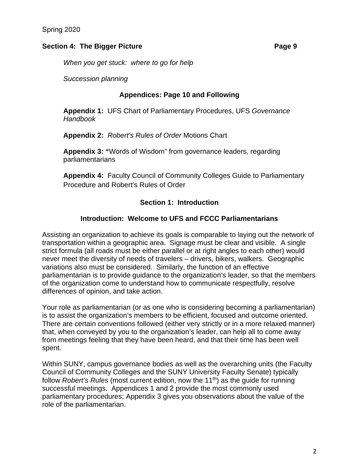#### **Section 4: The Bigger Picture Page 9 Page 9**

*When you get stuck: where to go for help*

*Succession planning*

#### **Appendices: Page 10 and Following**

**Appendix 1:** UFS Chart of Parliamentary Procedures, UFS *Governance Handbook*

**Appendix 2:** *Robert's Rules of Order* Motions Chart

**Appendix 3: "**Words of Wisdom" from governance leaders, regarding parliamentarians

**Appendix 4:** Faculty Council of Community Colleges Guide to Parliamentary Procedure and Robert's Rules of Order

#### **Section 1: Introduction**

#### **Introduction: Welcome to UFS and FCCC Parliamentarians**

Assisting an organization to achieve its goals is comparable to laying out the network of transportation within a geographic area. Signage must be clear and visible. A single strict formula (all roads must be either parallel or at right angles to each other) would never meet the diversity of needs of travelers – drivers, bikers, walkers. Geographic variations also must be considered. Similarly, the function of an effective parliamentarian is to provide guidance to the organization's leader, so that the members of the organization come to understand how to communicate respectfully, resolve differences of opinion, and take action.

Your role as parliamentarian (or as one who is considering becoming a parliamentarian) is to assist the organization's members to be efficient, focused and outcome oriented. There are certain conventions followed (either very strictly or in a more relaxed manner) that, when conveyed by you to the organization's leader, can help all to come away from meetings feeling that they have been heard, and that their time has been well spent.

Within SUNY, campus governance bodies as well as the overarching units (the Faculty Council of Community Colleges and the SUNY University Faculty Senate) typically follow *Robert's Rules* (most current edition, now the 11<sup>th</sup>) as the quide for running successful meetings. Appendices 1 and 2 provide the most commonly used parliamentary procedures; Appendix 3 gives you observations about the value of the role of the parliamentarian.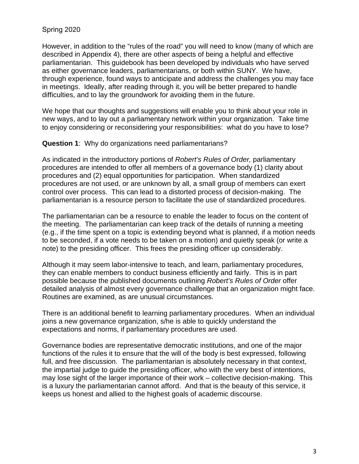Spring 2020

However, in addition to the "rules of the road" you will need to know (many of which are described in Appendix 4), there are other aspects of being a helpful and effective parliamentarian. This guidebook has been developed by individuals who have served as either governance leaders, parliamentarians, or both within SUNY. We have, through experience, found ways to anticipate and address the challenges you may face in meetings. Ideally, after reading through it, you will be better prepared to handle difficulties, and to lay the groundwork for avoiding them in the future.

We hope that our thoughts and suggestions will enable you to think about your role in new ways, and to lay out a parliamentary network within your organization. Take time to enjoy considering or reconsidering your responsibilities: what do you have to lose?

**Question 1**: Why do organizations need parliamentarians?

As indicated in the introductory portions of *Robert's Rules of Order,* parliamentary procedures are intended to offer all members of a governance body (1) clarity about procedures and (2) equal opportunities for participation. When standardized procedures are not used, or are unknown by all, a small group of members can exert control over process. This can lead to a distorted process of decision-making. The parliamentarian is a resource person to facilitate the use of standardized procedures.

The parliamentarian can be a resource to enable the leader to focus on the content of the meeting. The parliamentarian can keep track of the details of running a meeting (e.g., if the time spent on a topic is extending beyond what is planned, if a motion needs to be seconded, if a vote needs to be taken on a motion) and quietly speak (or write a note) to the presiding officer. This frees the presiding officer up considerably.

Although it may seem labor-intensive to teach, and learn, parliamentary procedures, they can enable members to conduct business efficiently and fairly. This is in part possible because the published documents outlining *Robert's Rules of Order* offer detailed analysis of almost every governance challenge that an organization might face. Routines are examined, as are unusual circumstances.

There is an additional benefit to learning parliamentary procedures. When an individual joins a new governance organization, s/he is able to quickly understand the expectations and norms, if parliamentary procedures are used.

Governance bodies are representative democratic institutions, and one of the major functions of the rules it to ensure that the will of the body is best expressed, following full, and free discussion. The parliamentarian is absolutely necessary in that context, the impartial judge to guide the presiding officer, who with the very best of intentions, may lose sight of the larger importance of their work – collective decision-making. This is a luxury the parliamentarian cannot afford. And that is the beauty of this service, it keeps us honest and allied to the highest goals of academic discourse.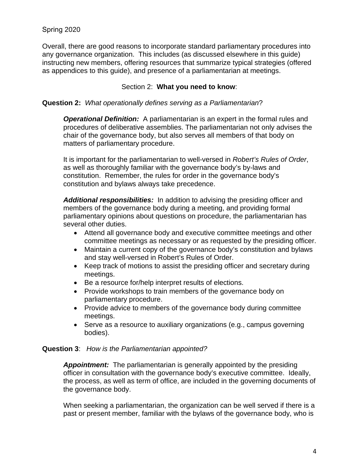Overall, there are good reasons to incorporate standard parliamentary procedures into any governance organization. This includes (as discussed elsewhere in this guide) instructing new members, offering resources that summarize typical strategies (offered as appendices to this guide), and presence of a parliamentarian at meetings.

#### Section 2: **What you need to know**:

#### **Question 2:** *What operationally defines serving as a Parliamentarian*?

*Operational Definition:* A parliamentarian is an expert in the formal rules and procedures of deliberative assemblies. The parliamentarian not only advises the chair of the governance body, but also serves all members of that body on matters of parliamentary procedure.

It is important for the parliamentarian to well-versed in *Robert's Rules of Order*, as well as thoroughly familiar with the governance body's by-laws and constitution.Remember, the rules for order in the governance body's constitution and bylaws always take precedence.

*Additional responsibilities:* In addition to advising the presiding officer and members of the governance body during a meeting, and providing formal parliamentary opinions about questions on procedure, the parliamentarian has several other duties.

- Attend all governance body and executive committee meetings and other committee meetings as necessary or as requested by the presiding officer.
- Maintain a current copy of the governance body's constitution and bylaws and stay well-versed in Robert's Rules of Order.
- Keep track of motions to assist the presiding officer and secretary during meetings.
- Be a resource for/help interpret results of elections.
- Provide workshops to train members of the governance body on parliamentary procedure.
- Provide advice to members of the governance body during committee meetings.
- Serve as a resource to auxiliary organizations (e.g., campus governing bodies).

#### **Question 3**: *How is the Parliamentarian appointed?*

*Appointment:* The parliamentarian is generally appointed by the presiding officer in consultation with the governance body's executive committee. Ideally, the process, as well as term of office, are included in the governing documents of the governance body.

When seeking a parliamentarian, the organization can be well served if there is a past or present member, familiar with the bylaws of the governance body, who is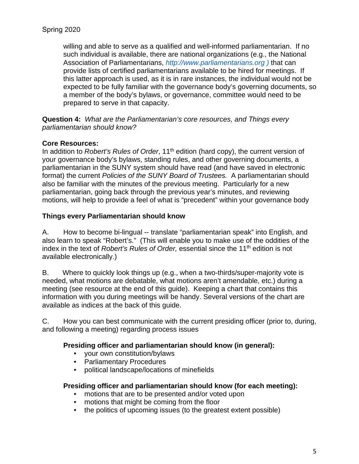willing and able to serve as a qualified and well-informed parliamentarian. If no such individual is available, there are national organizations (e.g., the National Association of Parliamentarians, *[http://www.parliamentarians.org](http://www.parliamentarians.org/) )* that can provide lists of certified parliamentarians available to be hired for meetings. If this latter approach is used, as it is in rare instances, the individual would not be expected to be fully familiar with the governance body's governing documents, so a member of the body's bylaws, or governance, committee would need to be prepared to serve in that capacity.

**Question 4:** *What are the Parliamentarian's core resources, and Things every parliamentarian should know?* 

#### **Core Resources:**

In addition to *Robert's Rules of Order*, 11<sup>th</sup> edition (hard copy), the current version of your governance body's bylaws, standing rules, and other governing documents, a parliamentarian in the SUNY system should have read (and have saved in electronic format) the current *Policies of the SUNY Board of Trustees.* A parliamentarian should also be familiar with the minutes of the previous meeting. Particularly for a new parliamentarian, going back through the previous year's minutes, and reviewing motions, will help to provide a feel of what is "precedent" within your governance body

#### **Things every Parliamentarian should know**

A. How to become bi-lingual -- translate "parliamentarian speak" into English, and also learn to speak "Robert's." (This will enable you to make use of the oddities of the index in the text of *Robert's Rules of Order,* essential since the 11th edition is not available electronically.)

B. Where to quickly look things up (e.g., when a two-thirds/super-majority vote is needed, what motions are debatable, what motions aren't amendable, etc.) during a meeting (see resource at the end of this guide). Keeping a chart that contains this information with you during meetings will be handy. Several versions of the chart are available as indices at the back of this guide.

C. How you can best communicate with the current presiding officer (prior to, during, and following a meeting) regarding process issues

#### **Presiding officer and parliamentarian should know (in general):**

- your own constitution/bylaws
- Parliamentary Procedures
- political landscape/locations of minefields

#### **Presiding officer and parliamentarian should know (for each meeting):**

- motions that are to be presented and/or voted upon
- motions that might be coming from the floor
- the politics of upcoming issues (to the greatest extent possible)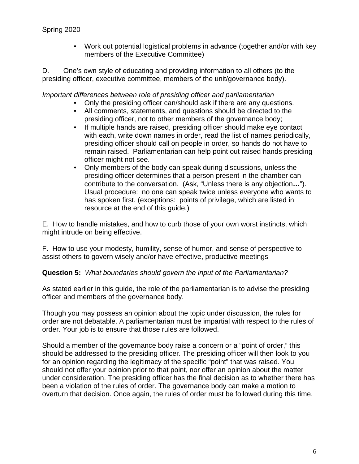• Work out potential logistical problems in advance (together and/or with key members of the Executive Committee)

D. One's own style of educating and providing information to all others (to the presiding officer, executive committee, members of the unit/governance body).

*Important differences between role of presiding officer and parliamentarian*

- Only the presiding officer can/should ask if there are any questions.
- All comments, statements, and questions should be directed to the presiding officer, not to other members of the governance body;
- If multiple hands are raised, presiding officer should make eye contact with each, write down names in order, read the list of names periodically, presiding officer should call on people in order, so hands do not have to remain raised. Parliamentarian can help point out raised hands presiding officer might not see.
- Only members of the body can speak during discussions, unless the presiding officer determines that a person present in the chamber can contribute to the conversation. (Ask, "Unless there is any objection**…**"). Usual procedure: no one can speak twice unless everyone who wants to has spoken first. (exceptions: points of privilege, which are listed in resource at the end of this guide.)

E. How to handle mistakes, and how to curb those of your own worst instincts, which might intrude on being effective.

F. How to use your modesty, humility, sense of humor, and sense of perspective to assist others to govern wisely and/or have effective, productive meetings

#### **Question 5:** *What boundaries should govern the input of the Parliamentarian?*

As stated earlier in this guide, the role of the parliamentarian is to advise the presiding officer and members of the governance body.

Though you may possess an opinion about the topic under discussion, the rules for order are not debatable. A parliamentarian must be impartial with respect to the rules of order. Your job is to ensure that those rules are followed.

Should a member of the governance body raise a concern or a "point of order," this should be addressed to the presiding officer. The presiding officer will then look to you for an opinion regarding the legitimacy of the specific "point" that was raised. You should not offer your opinion prior to that point, nor offer an opinion about the matter under consideration. The presiding officer has the final decision as to whether there has been a violation of the rules of order. The governance body can make a motion to overturn that decision. Once again, the rules of order must be followed during this time.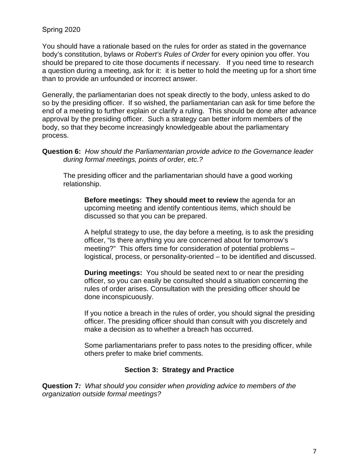Spring 2020

You should have a rationale based on the rules for order as stated in the governance body's constitution, bylaws or *Robert's Rules of Order* for every opinion you offer. You should be prepared to cite those documents if necessary. If you need time to research a question during a meeting, ask for it: it is better to hold the meeting up for a short time than to provide an unfounded or incorrect answer.

Generally, the parliamentarian does not speak directly to the body, unless asked to do so by the presiding officer. If so wished, the parliamentarian can ask for time before the end of a meeting to further explain or clarify a ruling. This should be done after advance approval by the presiding officer. Such a strategy can better inform members of the body, so that they become increasingly knowledgeable about the parliamentary process.

**Question 6:** *How should the Parliamentarian provide advice to the Governance leader during formal meetings, points of order, etc.?*

The presiding officer and the parliamentarian should have a good working relationship.

**Before meetings: They should meet to review** the agenda for an upcoming meeting and identify contentious items, which should be discussed so that you can be prepared.

A helpful strategy to use, the day before a meeting, is to ask the presiding officer, "Is there anything you are concerned about for tomorrow's meeting?" This offers time for consideration of potential problems – logistical, process, or personality-oriented – to be identified and discussed.

**During meetings:** You should be seated next to or near the presiding officer, so you can easily be consulted should a situation concerning the rules of order arises. Consultation with the presiding officer should be done inconspicuously.

If you notice a breach in the rules of order, you should signal the presiding officer. The presiding officer should than consult with you discretely and make a decision as to whether a breach has occurred.

Some parliamentarians prefer to pass notes to the presiding officer, while others prefer to make brief comments.

#### **Section 3: Strategy and Practice**

**Question 7***: What should you consider when providing advice to members of the organization outside formal meetings?*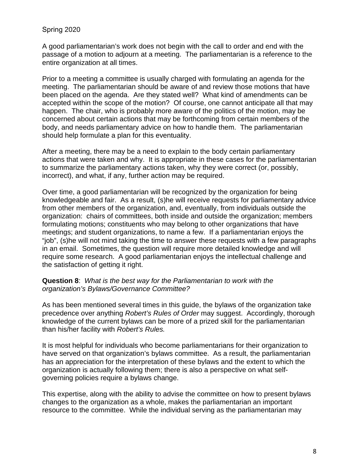#### Spring 2020

A good parliamentarian's work does not begin with the call to order and end with the passage of a motion to adjourn at a meeting. The parliamentarian is a reference to the entire organization at all times.

Prior to a meeting a committee is usually charged with formulating an agenda for the meeting. The parliamentarian should be aware of and review those motions that have been placed on the agenda. Are they stated well? What kind of amendments can be accepted within the scope of the motion? Of course, one cannot anticipate all that may happen. The chair, who is probably more aware of the politics of the motion, may be concerned about certain actions that may be forthcoming from certain members of the body, and needs parliamentary advice on how to handle them. The parliamentarian should help formulate a plan for this eventuality.

After a meeting, there may be a need to explain to the body certain parliamentary actions that were taken and why. It is appropriate in these cases for the parliamentarian to summarize the parliamentary actions taken, why they were correct (or, possibly, incorrect), and what, if any, further action may be required.

Over time, a good parliamentarian will be recognized by the organization for being knowledgeable and fair. As a result, (s)he will receive requests for parliamentary advice from other members of the organization, and, eventually, from individuals outside the organization: chairs of committees, both inside and outside the organization; members formulating motions; constituents who may belong to other organizations that have meetings; and student organizations, to name a few. If a parliamentarian enjoys the "job", (s)he will not mind taking the time to answer these requests with a few paragraphs in an email. Sometimes, the question will require more detailed knowledge and will require some research. A good parliamentarian enjoys the intellectual challenge and the satisfaction of getting it right.

**Question 8**: *What is the best way for the Parliamentarian to work with the organization's Bylaws/Governance Committee?*

As has been mentioned several times in this guide, the bylaws of the organization take precedence over anything *Robert's Rules of Order* may suggest. Accordingly, thorough knowledge of the current bylaws can be more of a prized skill for the parliamentarian than his/her facility with *Robert's Rules.*

It is most helpful for individuals who become parliamentarians for their organization to have served on that organization's bylaws committee. As a result, the parliamentarian has an appreciation for the interpretation of these bylaws and the extent to which the organization is actually following them; there is also a perspective on what selfgoverning policies require a bylaws change.

This expertise, along with the ability to advise the committee on how to present bylaws changes to the organization as a whole, makes the parliamentarian an important resource to the committee. While the individual serving as the parliamentarian may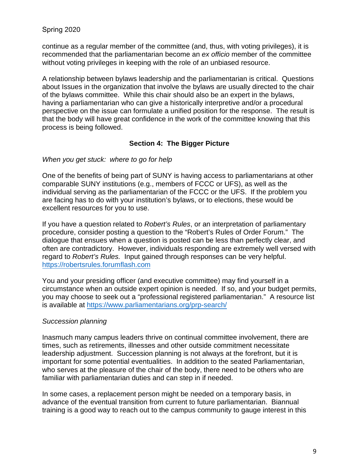continue as a regular member of the committee (and, thus, with voting privileges), it is recommended that the parliamentarian become an *ex officio* member of the committee without voting privileges in keeping with the role of an unbiased resource.

A relationship between bylaws leadership and the parliamentarian is critical. Questions about Issues in the organization that involve the bylaws are usually directed to the chair of the bylaws committee. While this chair should also be an expert in the bylaws, having a parliamentarian who can give a historically interpretive and/or a procedural perspective on the issue can formulate a unified position for the response. The result is that the body will have great confidence in the work of the committee knowing that this process is being followed.

#### **Section 4: The Bigger Picture**

#### *When you get stuck: where to go for help*

One of the benefits of being part of SUNY is having access to parliamentarians at other comparable SUNY institutions (e.g., members of FCCC or UFS), as well as the individual serving as the parliamentarian of the FCCC or the UFS. If the problem you are facing has to do with your institution's bylaws, or to elections, these would be excellent resources for you to use.

If you have a question related to *Robert's Rules*, or an interpretation of parliamentary procedure, consider posting a question to the "Robert's Rules of Order Forum." The dialogue that ensues when a question is posted can be less than perfectly clear, and often are contradictory. However, individuals responding are extremely well versed with regard to *Robert's Rules.* Input gained through responses can be very helpful. [https://robertsrules.forumflash.com](https://robertsrules.forumflash.com/)

You and your presiding officer (and executive committee) may find yourself in a circumstance when an outside expert opinion is needed. If so, and your budget permits, you may choose to seek out a "professional registered parliamentarian." A resource list is available at<https://www.parliamentarians.org/prp-search/>

#### *Succession planning*

Inasmuch many campus leaders thrive on continual committee involvement, there are times, such as retirements, illnesses and other outside commitment necessitate leadership adjustment. Succession planning is not always at the forefront, but it is important for some potential eventualities. In addition to the seated Parliamentarian, who serves at the pleasure of the chair of the body, there need to be others who are familiar with parliamentarian duties and can step in if needed.

In some cases, a replacement person might be needed on a temporary basis, in advance of the eventual transition from current to future parliamentarian. Biannual training is a good way to reach out to the campus community to gauge interest in this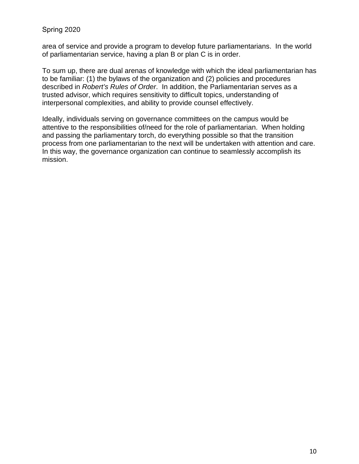#### Spring 2020

area of service and provide a program to develop future parliamentarians. In the world of parliamentarian service, having a plan B or plan C is in order.

To sum up, there are dual arenas of knowledge with which the ideal parliamentarian has to be familiar: (1) the bylaws of the organization and (2) policies and procedures described in *Robert's Rules of Order*. In addition, the Parliamentarian serves as a trusted advisor, which requires sensitivity to difficult topics, understanding of interpersonal complexities, and ability to provide counsel effectively.

Ideally, individuals serving on governance committees on the campus would be attentive to the responsibilities of/need for the role of parliamentarian. When holding and passing the parliamentary torch, do everything possible so that the transition process from one parliamentarian to the next will be undertaken with attention and care. In this way, the governance organization can continue to seamlessly accomplish its mission.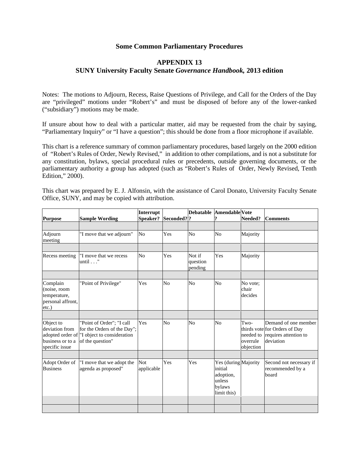#### **Some Common Parliamentary Procedures**

#### **APPENDIX 13 SUNY University Faculty Senate** *Governance Handbook,* **2013 edition**

Notes: The motions to Adjourn, Recess, Raise Questions of Privilege, and Call for the Orders of the Day are "privileged" motions under "Robert's" and must be disposed of before any of the lower-ranked ("subsidiary") motions may be made.

If unsure about how to deal with a particular matter, aid may be requested from the chair by saying, "Parliamentary Inquiry" or "I have a question"; this should be done from a floor microphone if available.

This chart is a reference summary of common parliamentary procedures, based largely on the 2000 edition of "Robert's Rules of Order, Newly Revised," in addition to other compilations, and is not a substitute for any constitution, bylaws, special procedural rules or precedents, outside governing documents, or the parliamentary authority a group has adopted (such as "Robert's Rules of Order, Newly Revised, Tenth Edition," 2000).

This chart was prepared by E. J. Alfonsin, with the assistance of Carol Donato, University Faculty Senate Office, SUNY, and may be copied with attribution.

| Purpose                                                                | <b>Sample Wording</b>                                                                                                                   | Interrupt<br>Speaker?    | Seconded? ?    |                               | Debatable Amendable Vote                                                        | Needed?                                    | <b>Comments</b>                                                                             |
|------------------------------------------------------------------------|-----------------------------------------------------------------------------------------------------------------------------------------|--------------------------|----------------|-------------------------------|---------------------------------------------------------------------------------|--------------------------------------------|---------------------------------------------------------------------------------------------|
|                                                                        |                                                                                                                                         |                          |                |                               |                                                                                 |                                            |                                                                                             |
| Adjourn<br>meeting                                                     | "I move that we adjourn"                                                                                                                | No                       | Yes            | No                            | N <sub>o</sub>                                                                  | Majority                                   |                                                                                             |
|                                                                        |                                                                                                                                         |                          |                |                               |                                                                                 |                                            |                                                                                             |
| Recess meeting                                                         | "I move that we recess<br>$until \dots$ "                                                                                               | N <sub>0</sub>           | Yes            | Not if<br>question<br>pending | Yes                                                                             | Majority                                   |                                                                                             |
|                                                                        |                                                                                                                                         |                          |                |                               |                                                                                 |                                            |                                                                                             |
| Complain<br>(noise, room<br>temperature,<br>personal affront,<br>etc.) | "Point of Privilege"                                                                                                                    | Yes                      | N <sub>0</sub> | No                            | N <sub>0</sub>                                                                  | No vote;<br>chair<br>decides               |                                                                                             |
|                                                                        |                                                                                                                                         |                          |                |                               |                                                                                 |                                            |                                                                                             |
| Object to<br>deviation from<br>business or to a<br>specific issue      | "Point of Order"; "I call<br>for the Orders of the Day";<br>adopted order of <sup>"</sup> I object to consideration<br>of the question" | Yes                      | N <sub>0</sub> | N <sub>0</sub>                | N <sub>o</sub>                                                                  | Two-<br>needed to<br>overrule<br>objection | Demand of one member<br>thirds vote for Orders of Day<br>requires attention to<br>deviation |
|                                                                        |                                                                                                                                         |                          |                |                               |                                                                                 |                                            |                                                                                             |
| Adopt Order of<br><b>Business</b>                                      | "I move that we adopt the<br>agenda as proposed"                                                                                        | <b>Not</b><br>applicable | Yes            | Yes                           | Yes (during Majority<br>initial<br>adoption,<br>unless<br>bylaws<br>limit this) |                                            | Second not necessary if<br>recommended by a<br>board                                        |
|                                                                        |                                                                                                                                         |                          |                |                               |                                                                                 |                                            |                                                                                             |
|                                                                        |                                                                                                                                         |                          |                |                               |                                                                                 |                                            |                                                                                             |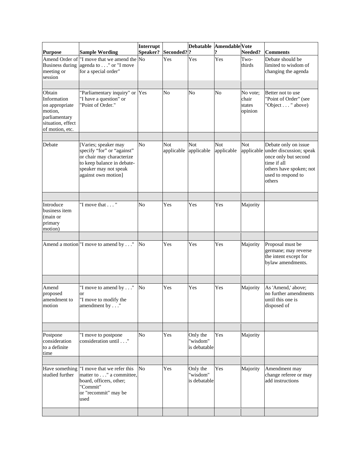|                                                                                                             |                                                                                                                                                               | Interrupt      |                          | <b>Debatable</b>                     | <b>Amendable Vote</b> |                                        |                                                                                                                                                              |
|-------------------------------------------------------------------------------------------------------------|---------------------------------------------------------------------------------------------------------------------------------------------------------------|----------------|--------------------------|--------------------------------------|-----------------------|----------------------------------------|--------------------------------------------------------------------------------------------------------------------------------------------------------------|
| <b>Purpose</b>                                                                                              | <b>Sample Wording</b>                                                                                                                                         | Speaker?       | Seconded? ?              |                                      |                       | Needed?                                | <b>Comments</b>                                                                                                                                              |
| Amend Order of<br>meeting or<br>session                                                                     | "I move that we amend the No<br>Business during agenda to " or "I move<br>for a special order"                                                                |                | Yes                      | Yes                                  | Yes                   | Two-<br>thirds                         | Debate should be<br>limited to wisdom of<br>changing the agenda                                                                                              |
| Obtain<br>Information<br>on appropriate<br>motion,<br>parliamentary<br>situation, effect<br>of motion, etc. | 'Parliamentary inquiry" or Yes<br>'I have a question" or<br>'Point of Order."                                                                                 |                | N <sub>o</sub>           | No                                   | No                    | No vote:<br>chair<br>states<br>opinion | Better not to use<br>"Point of Order" (see<br>"Object " above)                                                                                               |
| Debate                                                                                                      | [Varies; speaker may<br>specify "for" or "against"<br>or chair may characterize<br>to keep balance in debate-<br>speaker may not speak<br>against own motion] | No             | <b>Not</b><br>applicable | Not<br>applicable                    | Not<br>applicable     | Not                                    | Debate only on issue<br>applicable under discussion; speak<br>once only but second<br>time if all<br>others have spoken; not<br>used to respond to<br>others |
| Introduce<br>business item<br>(main or<br>primary<br>motion)                                                | "I move that "                                                                                                                                                | No             | Yes                      | Yes                                  | Yes                   | Majority                               |                                                                                                                                                              |
|                                                                                                             | Amend a motion T move to amend by"                                                                                                                            | No             | Yes                      | Yes                                  | Yes                   | Majority                               | Proposal must be<br>germane; may reverse<br>the intent except for<br>bylaw amendments.                                                                       |
|                                                                                                             |                                                                                                                                                               |                |                          |                                      |                       |                                        |                                                                                                                                                              |
| Amend<br>proposed<br>amendment to<br>motion                                                                 | "I move to amend by"<br>or<br>"I move to modify the<br>amendment by $\dots$ "                                                                                 | No             | Yes                      | Yes                                  | Yes                   | Majority                               | As 'Amend,' above;<br>no further amendments<br>until this one is<br>disposed of                                                                              |
|                                                                                                             |                                                                                                                                                               |                |                          |                                      |                       |                                        |                                                                                                                                                              |
| Postpone<br>consideration<br>to a definite<br>time                                                          | "I move to postpone<br>consideration until"                                                                                                                   | No             | Yes                      | Only the<br>"wisdom"<br>is debatable | Yes                   | Majority                               |                                                                                                                                                              |
| Have something<br>studied further                                                                           | "I move that we refer this<br>matter to" a committee,<br>board, officers, other;<br>'Commit"<br>or "recommit" may be<br>used                                  | N <sub>0</sub> | Yes                      | Only the<br>"wisdom"<br>is debatable | Yes                   | Majority                               | Amendment may<br>change referee or may<br>add instructions                                                                                                   |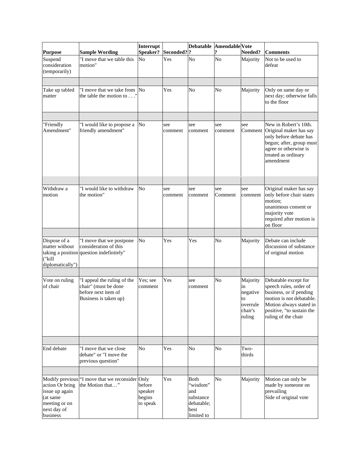|                                                                                           |                                                                                                     | Interrupt                               |                | <b>Debatable</b>                                                         | <b>Amendable</b> Vote |                                                                   |                                                                                                                                                                                      |
|-------------------------------------------------------------------------------------------|-----------------------------------------------------------------------------------------------------|-----------------------------------------|----------------|--------------------------------------------------------------------------|-----------------------|-------------------------------------------------------------------|--------------------------------------------------------------------------------------------------------------------------------------------------------------------------------------|
| <b>Purpose</b>                                                                            | <b>Sample Wording</b>                                                                               | Speaker?                                | Seconded? ?    |                                                                          |                       | Needed?                                                           | <b>Comments</b>                                                                                                                                                                      |
| Suspend<br>consideration<br>(temporarily)                                                 | "I move that we table this<br>motion"                                                               | N <sub>o</sub>                          | Yes            | No                                                                       | No                    | Majority                                                          | Not to be used to<br>defeat                                                                                                                                                          |
|                                                                                           |                                                                                                     |                                         |                |                                                                          |                       |                                                                   |                                                                                                                                                                                      |
| Take up tabled<br>matter                                                                  | "I move that we take from No<br>the table the motion to"                                            |                                         | Yes            | No                                                                       | No                    | Majority                                                          | Only on same day or<br>next day; otherwise falls<br>to the floor                                                                                                                     |
|                                                                                           |                                                                                                     |                                         |                |                                                                          |                       |                                                                   |                                                                                                                                                                                      |
| "Friendly<br>Amendment"                                                                   | 'I would like to propose a<br>friendly amendment"                                                   | No                                      | see<br>comment | see<br>comment                                                           | see<br>comment        | see<br>Comment                                                    | New in Robert's 10th.<br>Original maker has say<br>only before debate has<br>begun; after, group must<br>agree or otherwise is<br>treated as ordinary<br>amendment                   |
|                                                                                           |                                                                                                     |                                         |                |                                                                          |                       |                                                                   |                                                                                                                                                                                      |
| Withdraw a<br>motion                                                                      | "I would like to withdraw<br>the motion"                                                            | No                                      | see<br>comment | see<br>comment                                                           | see<br>Comment        | see<br>comment                                                    | Original maker has say<br>only before chair states<br>motion:<br>unanimous consent or<br>majority vote<br>required after motion is<br>on floor                                       |
|                                                                                           |                                                                                                     |                                         |                |                                                                          |                       |                                                                   |                                                                                                                                                                                      |
| Dispose of a<br>matter without<br>("kill<br>diplomatically")                              | "I move that we postpone<br>consideration of this<br>taking a position question indefinitely"       | No                                      | Yes            | Yes                                                                      | No                    | Majority                                                          | Debate can include<br>discussion of substance<br>of original motion                                                                                                                  |
|                                                                                           |                                                                                                     |                                         |                |                                                                          |                       |                                                                   |                                                                                                                                                                                      |
| Vote on ruling<br>of chair                                                                | 'I appeal the ruling of the<br>chair" (must be done<br>before next item of<br>Business is taken up) | Yes; see<br>comment                     | Yes            | see<br>comment                                                           | No                    | Majority<br>in<br>negative<br>to<br>overrule<br>chair's<br>ruling | Debatable except for<br>speech rules, order of<br>business, or if pending<br>motion is not debatable.<br>Motion always stated in<br>positive, "to sustain the<br>ruling of the chair |
|                                                                                           |                                                                                                     |                                         |                |                                                                          |                       |                                                                   |                                                                                                                                                                                      |
| End debate                                                                                | "I move that we close<br>debate" or "I move the<br>previous question"                               | No                                      | Yes            | No                                                                       | No                    | Two-<br>thirds                                                    |                                                                                                                                                                                      |
|                                                                                           |                                                                                                     |                                         |                |                                                                          |                       |                                                                   |                                                                                                                                                                                      |
| action Or bring<br>issue up again<br>(at same<br>meeting or on<br>next day of<br>business | Modify previous "I move that we reconsider Only<br>the Motion that"                                 | before<br>speaker<br>begins<br>to speak | Yes            | Both<br>"wisdom"<br>and<br>substance<br>debatable;<br>best<br>limited to | No                    | Majority                                                          | Motion can only be<br>made by someone on<br>prevailing<br>Side of original vote                                                                                                      |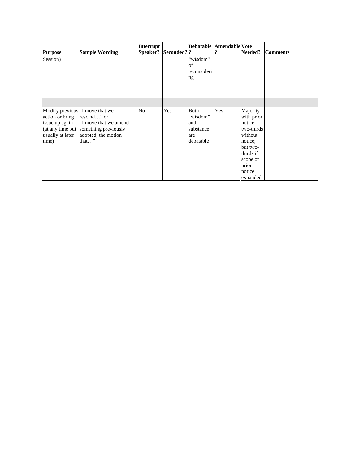|                                                                                                   |                                                                                                               | Interrupt |             |                                                          | Debatable Amendable Vote |                                                                                                                                           |                 |
|---------------------------------------------------------------------------------------------------|---------------------------------------------------------------------------------------------------------------|-----------|-------------|----------------------------------------------------------|--------------------------|-------------------------------------------------------------------------------------------------------------------------------------------|-----------------|
| <b>Purpose</b>                                                                                    | <b>Sample Wording</b>                                                                                         | Speaker?  | Seconded? ? |                                                          |                          | Needed?                                                                                                                                   | <b>Comments</b> |
| Session)                                                                                          |                                                                                                               |           |             | "wisdom"<br>of<br>reconsideri<br>ng                      |                          |                                                                                                                                           |                 |
|                                                                                                   |                                                                                                               |           |             |                                                          |                          |                                                                                                                                           |                 |
| Modify previous "I move that we<br>action or bring<br>issue up again<br>usually at later<br>time) | rescind" or<br>"I move that we amend<br>(at any time but something previously<br>adopted, the motion<br>that" | No        | Yes         | Both<br>"wisdom"<br>and<br>substance<br>are<br>debatable | Yes                      | Majority<br>with prior<br>notice:<br>two-thirds<br>without<br>notice:<br>but two-<br>thirds if<br>scope of<br>prior<br>notice<br>expanded |                 |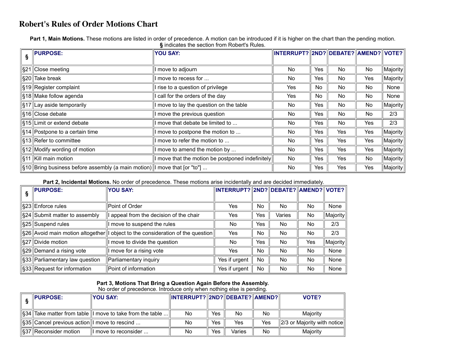### **Robert's Rules of Order Motions Chart**

Part 1, Main Motions. These motions are listed in order of precedence. A motion can be introduced if it is higher on the chart than the pending motion. **§** indicates the section from Robert's Rules.

| <b>PURPOSE:</b>                                                           | <b>YOU SAY:</b>                                | INTERRUPT? 2ND? DEBATE? AMEND? VOTE? |            |     |     |                       |
|---------------------------------------------------------------------------|------------------------------------------------|--------------------------------------|------------|-----|-----|-----------------------|
|                                                                           |                                                |                                      |            |     |     |                       |
| ∥§21 Close meeting                                                        | move to adjourn                                | <b>No</b>                            | Yes        | No  | No  | $ \mathsf{Majority} $ |
| §20  Take break                                                           | I move to recess for                           | <b>No</b>                            | Yes        | No  | Yes | $ \mathsf{Majority} $ |
| §19 Register complaint                                                    | I rise to a question of privilege              | Yes                                  | No.        | No  | No  | None                  |
| §18  Make follow agenda                                                   | call for the orders of the day                 | Yes                                  | No.        | No  | No  | None                  |
| §17  Lay aside temporarily                                                | I move to lay the question on the table        | <b>No</b>                            | Yes        | No  | No  | Majority              |
| ∥§16 Close debate                                                         | move the previous question                     | <b>No</b>                            | Yes        | No  | No  | 2/3                   |
| §15  Limit or extend debate                                               | move that debate be limited to                 | <b>No</b>                            | Yes        | No. | Yes | 2/3                   |
| ∥§14 Postpone to a certain time                                           | move to postpone the motion to                 | No                                   | Yes        | Yes | Yes | $ \mathsf{Majority} $ |
| S13 Refer to committee                                                    | move to refer the motion to                    | No                                   | <b>Yes</b> | Yes | Yes | $\ $ Majority $\ $    |
| $\left\  \xi_{12} \right\ $ Modify wording of motion                      | I move to amend the motion by                  | <b>No</b>                            | Yes        | Yes | Yes | $ \mathsf{Majority} $ |
| ∥§11 Kill main motion                                                     | move that the motion be postponed indefinitely | <b>No</b>                            | Yes        | Yes | No  | $ \mathsf{Majority} $ |
| ∥§10 Bring business before assembly (a main motion) I move that [or "to"] |                                                | No                                   | Yes        | Yes | Yes | $\ $ Majority $\ $    |

**Part 2, Incidental Motions.** No order of precedence. These motions arise incidentally and are decided immediately.

| <b>PURPOSE:</b>                   | <b>YOU SAY:</b>                             | INTERRUPT? 2ND? DEBATE? AMEND? VOTE? |           |                |     |          |
|-----------------------------------|---------------------------------------------|--------------------------------------|-----------|----------------|-----|----------|
|                                   |                                             |                                      |           |                |     |          |
| §23 Enforce rules                 | Point of Order                              | Yes                                  | <b>No</b> | No.            | No  | None     |
| \$24 Submit matter to assembly    | appeal from the decision of the chair       | Yes                                  | Yes       | Varies         | No  | Majority |
| §25 Suspend rules                 | move to suspend the rules                   | No.                                  | Yes       | No.            | No  | 2/3      |
| \$26 Avoid main motion altogether | object to the consideration of the question | Yes                                  | No        | No.            | No  | 2/3      |
| §27 Divide motion                 | move to divide the question                 | No.                                  | Yes       | N <sub>o</sub> | Yes | Majority |
| §29∥Demand a rising vote          | move for a rising vote                      | Yes                                  | <b>No</b> | N <sub>o</sub> | No  | None     |
| §33 Parliamentary law question    | Parliamentary inquiry                       | Yes if urgent                        | <b>No</b> | N <sub>o</sub> | No  | None     |
| §33 Request for information       | Point of information                        | Yes if urgent                        | No        | No             | No  | None     |

#### **Part 3, Motions That Bring a Question Again Before the Assembly.**

No order of precedence. Introduce only when nothing else is pending.

| <b>PURPOSE:</b>                                          | <b>YOU SAY:</b>                                                       | INTERRUPT?  2ND?  DEBATE?  AMEND? |     |        |     | VOTE?                                   |
|----------------------------------------------------------|-----------------------------------------------------------------------|-----------------------------------|-----|--------|-----|-----------------------------------------|
|                                                          |                                                                       |                                   |     |        |     |                                         |
|                                                          | $\ \S 34\ $ Take matter from table $\ $ I move to take from the table | No                                | Yes | No     | No. | Maiority                                |
| $\ \S35\ $ Cancel previous action $\ $ I move to rescind |                                                                       | No                                | Yes | Yes    | Yes | $\parallel$ 2/3 or Majority with notice |
| $\ \S 37\ $ Reconsider motion                            | move to reconsider                                                    | No                                | Yes | Varies | No  | Maiority                                |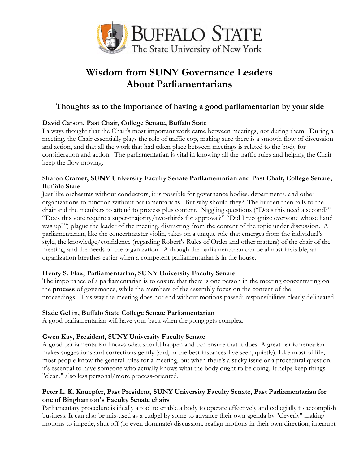

## **Wisdom from SUNY Governance Leaders About Parliamentarians**

#### **Thoughts as to the importance of having a good parliamentarian by your side**

#### **David Carson, Past Chair, College Senate, Buffalo State**

I always thought that the Chair's most important work came between meetings, not during them. During a meeting, the Chair essentially plays the role of traffic cop, making sure there is a smooth flow of discussion and action, and that all the work that had taken place between meetings is related to the body for consideration and action. The parliamentarian is vital in knowing all the traffic rules and helping the Chair keep the flow moving.

#### **Sharon Cramer, SUNY University Faculty Senate Parliamentarian and Past Chair, College Senate, Buffalo State**

Just like orchestras without conductors, it is possible for governance bodies, departments, and other organizations to function without parliamentarians. But why should they? The burden then falls to the chair and the members to attend to process plus content. Niggling questions ("Does this need a second?" "Does this vote require a super-majority/two-thirds for approval?" "Did I recognize everyone whose hand was up?") plague the leader of the meeting, distracting from the content of the topic under discussion. A parliamentarian, like the concertmaster violin, takes on a unique role that emerges from the individual's style, the knowledge/confidence (regarding Robert's Rules of Order and other matters) of the chair of the meeting, and the needs of the organization. Although the parliamentarian can be almost invisible, an organization breathes easier when a competent parliamentarian is in the house.

#### **Henry S. Flax, Parliamentarian, SUNY University Faculty Senate**

The importance of a parliamentarian is to ensure that there is one person in the meeting concentrating on the **process** of governance, while the members of the assembly focus on the content of the proceedings. This way the meeting does not end without motions passed; responsibilities clearly delineated.

#### **Slade Gellin, Buffalo State College Senate Parliamentarian**

A good parliamentarian will have your back when the going gets complex.

#### **Gwen Kay, President, SUNY University Faculty Senate**

A good parliamentarian knows what should happen and can ensure that it does. A great parliamentarian makes suggestions and corrections gently (and, in the best instances I've seen, quietly). Like most of life, most people know the general rules for a meeting, but when there's a sticky issue or a procedural question, it's essential to have someone who actually knows what the body ought to be doing. It helps keep things "clean," also less personal/more process-oriented.

#### **Peter L. K. Knuepfer, Past President, SUNY University Faculty Senate, Past Parliamentarian for one of Binghamton's Faculty Senate chairs**

Parliamentary procedure is ideally a tool to enable a body to operate effectively and collegially to accomplish business. It can also be mis-used as a cudgel by some to advance their own agenda by "cleverly" making motions to impede, shut off (or even dominate) discussion, realign motions in their own direction, interrupt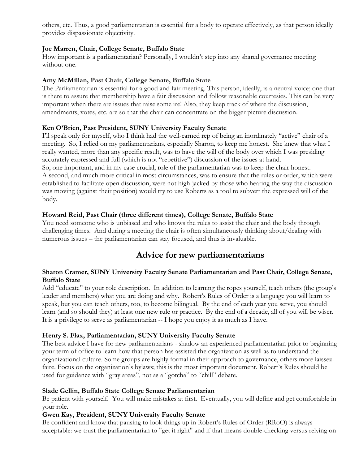others, etc. Thus, a good parliamentarian is essential for a body to operate effectively, as that person ideally provides dispassionate objectivity.

#### **Joe Marren, Chair, College Senate, Buffalo State**

How important is a parliamentarian? Personally, I wouldn't step into any shared governance meeting without one.

#### **Amy McMillan, Past Chair, College Senate, Buffalo State**

The Parliamentarian is essential for a good and fair meeting. This person, ideally, is a neutral voice; one that is there to assure that membership have a fair discussion and follow reasonable courtesies. This can be very important when there are issues that raise some ire! Also, they keep track of where the discussion, amendments, votes, etc. are so that the chair can concentrate on the bigger picture discussion.

#### **Ken O'Brien, Past President, SUNY University Faculty Senate**

I'll speak only for myself, who I think had the well-earned rep of being an inordinately "active" chair of a meeting. So, I relied on my parliamentarians, especially Sharon, to keep me honest. She knew that what I really wanted, more than any specific result, was to have the will of the body over which I was presiding accurately expressed and full (which is not "repetitive") discussion of the issues at hand. So, one important, and in my case crucial, role of the parliamentarian was to keep the chair honest. A second, and much more critical in most circumstances, was to ensure that the rules or order, which were established to facilitate open discussion, were not high-jacked by those who hearing the way the discussion was moving (against their position) would try to use Roberts as a tool to subvert the expressed will of the body.

#### **Howard Reid, Past Chair (three different times), College Senate, Buffalo State**

You need someone who is unbiased and who knows the rules to assist the chair and the body through challenging times. And during a meeting the chair is often simultaneously thinking about/dealing with numerous issues – the parliamentarian can stay focused, and thus is invaluable.

### **Advice for new parliamentarians**

#### **Sharon Cramer, SUNY University Faculty Senate Parliamentarian and Past Chair, College Senate, Buffalo State**

Add "educate" to your role description. In addition to learning the ropes yourself, teach others (the group's leader and members) what you are doing and why. Robert's Rules of Order is a language you will learn to speak, but you can teach others, too, to become bilingual. By the end of each year you serve, you should learn (and so should they) at least one new rule or practice. By the end of a decade, all of you will be wiser. It is a privilege to serve as parliamentarian -- I hope you enjoy it as much as I have.

#### **Henry S. Flax, Parliamentarian, SUNY University Faculty Senate**

The best advice I have for new parliamentarians - shadow an experienced parliamentarian prior to beginning your term of office to learn how that person has assisted the organization as well as to understand the organizational culture. Some groups are highly formal in their approach to governance, others more laissezfaire. Focus on the organization's bylaws; this is the most important document. Robert's Rules should be used for guidance with "gray areas", not as a "gotcha" to "chill" debate.

#### **Slade Gellin, Buffalo State College Senate Parliamentarian**

Be patient with yourself. You will make mistakes at first. Eventually, you will define and get comfortable in your role.

#### **Gwen Kay, President, SUNY University Faculty Senate**

Be confident and know that pausing to look things up in Robert's Rules of Order (RRoO) is always acceptable: we trust the parliamentarian to "get it right" and if that means double-checking versus relying on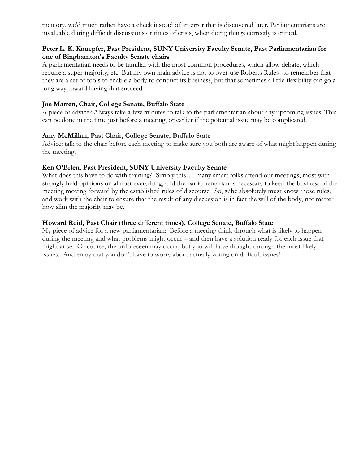memory, we'd much rather have a check instead of an error that is discovered later. Parliamentarians are invaluable during difficult discussions or times of crisis, when doing things correctly is critical.

#### **Peter L. K. Knuepfer, Past President, SUNY University Faculty Senate, Past Parliamentarian for one of Binghamton's Faculty Senate chairs**

A parliamentarian needs to be familiar with the most common procedures, which allow debate, which require a super-majority, etc. But my own main advice is not to over-use Roberts Rules--to remember that they are a set of tools to enable a body to conduct its business, but that sometimes a little flexibility can go a long way toward having that succeed.

#### **Joe Marren, Chair, College Senate, Buffalo State**

A piece of advice? Always take a few minutes to talk to the parliamentarian about any upcoming issues. This can be done in the time just before a meeting, or earlier if the potential issue may be complicated.

#### **Amy McMillan, Past Chair, College Senate, Buffalo State**

Advice: talk to the chair before each meeting to make sure you both are aware of what might happen during the meeting.

#### **Ken O'Brien, Past President, SUNY University Faculty Senate**

What does this have to do with training? Simply this.... many smart folks attend our meetings, most with strongly held opinions on almost everything, and the parliamentarian is necessary to keep the business of the meeting moving forward by the established rules of discourse. So, s/he absolutely must know those rules, and work with the chair to ensure that the result of any discussion is in fact the will of the body, not matter how slim the majority may be.

#### **Howard Reid, Past Chair (three different times), College Senate, Buffalo State**

My piece of advice for a new parliamentarian: Before a meeting think through what is likely to happen during the meeting and what problems might occur – and then have a solution ready for each issue that might arise. Of course, the unforeseen may occur, but you will have thought through the most likely issues. And enjoy that you don't have to worry about actually voting on difficult issues!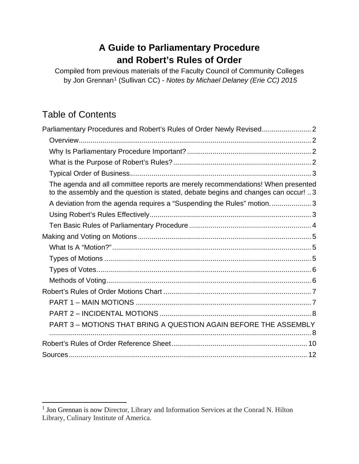### **A Guide to Parliamentary Procedure and Robert's Rules of Order**

Compiled from previous materials of the Faculty Council of Community Colleges by Jon Grennan[1](#page-19-0) (Sullivan CC) - *Notes by Michael Delaney (Erie CC) 2015*

## Table of Contents

| Parliamentary Procedures and Robert's Rules of Order Newly Revised                                                                                                    |
|-----------------------------------------------------------------------------------------------------------------------------------------------------------------------|
|                                                                                                                                                                       |
|                                                                                                                                                                       |
|                                                                                                                                                                       |
|                                                                                                                                                                       |
| The agenda and all committee reports are merely recommendations! When presented<br>to the assembly and the question is stated, debate begins and changes can occur! 3 |
| A deviation from the agenda requires a "Suspending the Rules" motion3                                                                                                 |
|                                                                                                                                                                       |
|                                                                                                                                                                       |
|                                                                                                                                                                       |
|                                                                                                                                                                       |
|                                                                                                                                                                       |
|                                                                                                                                                                       |
|                                                                                                                                                                       |
|                                                                                                                                                                       |
|                                                                                                                                                                       |
|                                                                                                                                                                       |
| PART 3 - MOTIONS THAT BRING A QUESTION AGAIN BEFORE THE ASSEMBLY                                                                                                      |
|                                                                                                                                                                       |
|                                                                                                                                                                       |

<span id="page-19-0"></span><sup>&</sup>lt;sup>1</sup> Jon Grennan is now Director, Library and Information Services at the Conrad N. Hilton Library, Culinary Institute of America.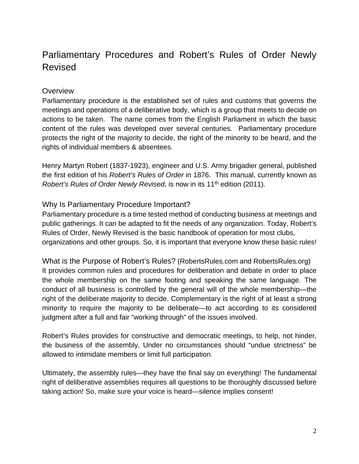### <span id="page-20-0"></span>Parliamentary Procedures and Robert's Rules of Order Newly Revised

#### <span id="page-20-1"></span>**Overview**

Parliamentary procedure is the established set of rules and customs that governs the meetings and operations of a deliberative body, which is a group that meets to decide on actions to be taken. The name comes from the English Parliament in which the basic content of the rules was developed over several centuries. Parliamentary procedure protects the right of the majority to decide, the right of the minority to be heard, and the rights of individual members & absentees.

Henry Martyn Robert (1837-1923), engineer and U.S. Army brigadier general, published the first edition of his *Robert's Rules of Order* in 1876. This manual, currently known as *Robert's Rules of Order Newly Revised*, is now in its 11<sup>th</sup> edition (2011).

#### <span id="page-20-2"></span>Why Is Parliamentary Procedure Important?

Parliamentary procedure is a time tested method of conducting business at meetings and public gatherings. It can be adapted to fit the needs of any organization. Today, Robert's Rules of Order, Newly Revised is the basic handbook of operation for most clubs, organizations and other groups. So, it is important that everyone know these basic rules!

<span id="page-20-3"></span>What is the Purpose of Robert's Rules? (RobertsRules.com and RobertsRules.org) It provides common rules and procedures for deliberation and debate in order to place the whole membership on the same footing and speaking the same language. The conduct of all business is controlled by the general will of the whole membership—the right of the deliberate majority to decide. Complementary is the right of at least a strong minority to require the majority to be deliberate—to act according to its considered judgment after a full and fair "working through" of the issues involved.

Robert's Rules provides for constructive and democratic meetings, to help, not hinder, the business of the assembly. Under no circumstances should "undue strictness" be allowed to intimidate members or limit full participation.

Ultimately, the assembly rules—they have the final say on everything! The fundamental right of deliberative assemblies requires all questions to be thoroughly discussed before taking action! So, make sure your voice is heard—silence implies consent!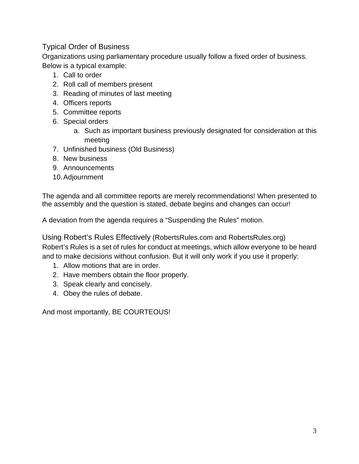#### <span id="page-21-0"></span>Typical Order of Business

Organizations using parliamentary procedure usually follow a fixed order of business. Below is a typical example:

- 1. Call to order
- 2. Roll call of members present
- 3. Reading of minutes of last meeting
- 4. Officers reports
- 5. Committee reports
- 6. Special orders
	- a. Such as important business previously designated for consideration at this meeting
- 7. Unfinished business (Old Business)
- 8. New business
- 9. Announcements
- 10.Adjournment

<span id="page-21-2"></span><span id="page-21-1"></span>The agenda and all committee reports are merely recommendations! When presented to the assembly and the question is stated, debate begins and changes can occur!

<span id="page-21-3"></span>A deviation from the agenda requires a "Suspending the Rules" motion.

<span id="page-21-4"></span>Using Robert's Rules Effectively (RobertsRules.com and RobertsRules.org) Robert's Rules is a set of rules for conduct at meetings, which allow everyone to be heard and to make decisions without confusion. But it will only work if you use it properly:

- 1. Allow motions that are in order.
- 2. Have members obtain the floor properly.
- 3. Speak clearly and concisely.
- 4. Obey the rules of debate.

And most importantly, BE COURTEOUS!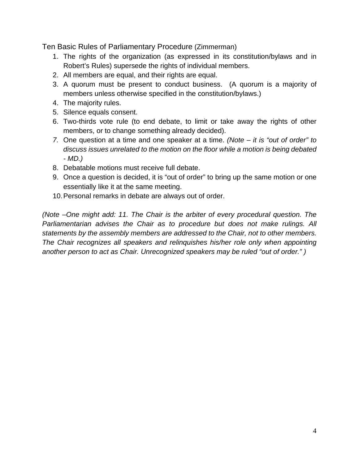<span id="page-22-0"></span>Ten Basic Rules of Parliamentary Procedure (Zimmerman)

- 1. The rights of the organization (as expressed in its constitution/bylaws and in Robert's Rules) supersede the rights of individual members.
- 2. All members are equal, and their rights are equal.
- 3. A quorum must be present to conduct business. (A quorum is a majority of members unless otherwise specified in the constitution/bylaws.)
- 4. The majority rules.
- 5. Silence equals consent.
- 6. Two-thirds vote rule (to end debate, to limit or take away the rights of other members, or to change something already decided).
- *7.* One question at a time and one speaker at a time. *(Note it is "out of order" to discuss issues unrelated to the motion on the floor while a motion is being debated - MD.)*
- 8. Debatable motions must receive full debate.
- 9. Once a question is decided, it is "out of order" to bring up the same motion or one essentially like it at the same meeting.
- 10.Personal remarks in debate are always out of order.

*(Note –One might add: 11. The Chair is the arbiter of every procedural question. The Parliamentarian advises the Chair as to procedure but does not make rulings. All statements by the assembly members are addressed to the Chair, not to other members. The Chair recognizes all speakers and relinquishes his/her role only when appointing another person to act as Chair. Unrecognized speakers may be ruled "out of order." )*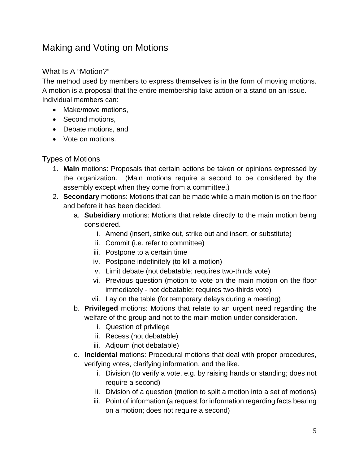### <span id="page-23-0"></span>Making and Voting on Motions

#### <span id="page-23-1"></span>What Is A "Motion?"

The method used by members to express themselves is in the form of moving motions. A motion is a proposal that the entire membership take action or a stand on an issue. Individual members can:

- Make/move motions.
- Second motions,
- Debate motions, and
- Vote on motions.

#### <span id="page-23-2"></span>Types of Motions

- 1. **Main** motions: Proposals that certain actions be taken or opinions expressed by the organization. (Main motions require a second to be considered by the assembly except when they come from a committee.)
- 2. **Secondary** motions: Motions that can be made while a main motion is on the floor and before it has been decided.
	- a. **Subsidiary** motions: Motions that relate directly to the main motion being considered.
		- i. Amend (insert, strike out, strike out and insert, or substitute)
		- ii. Commit (i.e. refer to committee)
		- iii. Postpone to a certain time
		- iv. Postpone indefinitely (to kill a motion)
		- v. Limit debate (not debatable; requires two-thirds vote)
		- vi. Previous question (motion to vote on the main motion on the floor immediately - not debatable; requires two-thirds vote)
		- vii. Lay on the table (for temporary delays during a meeting)
	- b. **Privileged** motions: Motions that relate to an urgent need regarding the welfare of the group and not to the main motion under consideration.
		- i. Question of privilege
		- ii. Recess (not debatable)
		- iii. Adjourn (not debatable)
	- c. **Incidental** motions: Procedural motions that deal with proper procedures, verifying votes, clarifying information, and the like.
		- i. Division (to verify a vote, e.g. by raising hands or standing; does not require a second)
		- ii. Division of a question (motion to split a motion into a set of motions)
		- iii. Point of information (a request for information regarding facts bearing on a motion; does not require a second)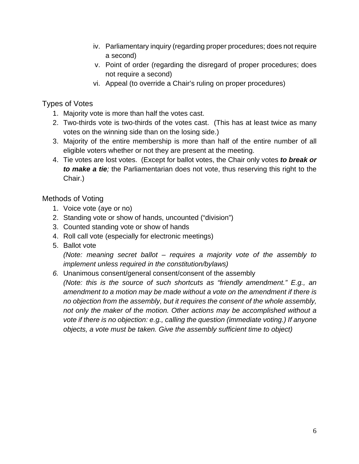- iv. Parliamentary inquiry (regarding proper procedures; does not require a second)
- v. Point of order (regarding the disregard of proper procedures; does not require a second)
- vi. Appeal (to override a Chair's ruling on proper procedures)

#### <span id="page-24-0"></span>Types of Votes

- 1. Majority vote is more than half the votes cast.
- 2. Two-thirds vote is two-thirds of the votes cast. (This has at least twice as many votes on the winning side than on the losing side.)
- 3. Majority of the entire membership is more than half of the entire number of all eligible voters whether or not they are present at the meeting.
- 4. Tie votes are lost votes. (Except for ballot votes, the Chair only votes *to break or to make a tie;* the Parliamentarian does not vote, thus reserving this right to the Chair.)

#### <span id="page-24-1"></span>Methods of Voting

- 1. Voice vote (aye or no)
- 2. Standing vote or show of hands, uncounted ("division")
- 3. Counted standing vote or show of hands
- 4. Roll call vote (especially for electronic meetings)
- 5. Ballot vote

*(Note: meaning secret ballot – requires a majority vote of the assembly to implement unless required in the constitution/bylaws)*

*6.* Unanimous consent/general consent/consent of the assembly

*(Note: this is the source of such shortcuts as "friendly amendment." E.g., an amendment to a motion may be made without a vote on the amendment if there is no objection from the assembly, but it requires the consent of the whole assembly, not only the maker of the motion. Other actions may be accomplished without a vote if there is no objection: e.g., calling the question (immediate voting.) If anyone objects, a vote must be taken. Give the assembly sufficient time to object)*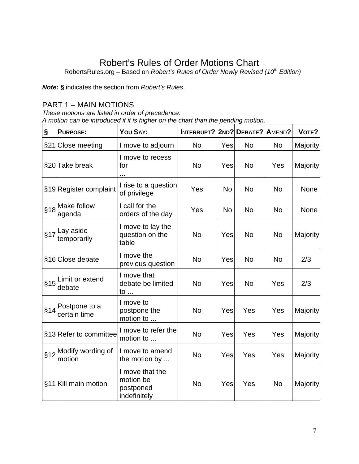### Robert's Rules of Order Motions Chart

<span id="page-25-0"></span>RobertsRules.org – Based on *Robert's Rules of Order Newly Revised (10th Edition)* 

*Note***: §** indicates the section from *Robert's Rules*.

#### <span id="page-25-1"></span>PART 1 – MAIN MOTIONS

*These motions are listed in order of precedence. A motion can be introduced if it is higher on the chart than the pending motion.*

| $\S$ | <b>PURPOSE:</b>               | YOU SAY:                                                  | INTERRUPT? |           | 2ND? DEBATE? | AMEND?    | VOTE?    |
|------|-------------------------------|-----------------------------------------------------------|------------|-----------|--------------|-----------|----------|
|      | §21 Close meeting             | I move to adjourn                                         | <b>No</b>  | Yes       | No           | <b>No</b> | Majority |
|      | §20 Take break                | I move to recess<br>for                                   | <b>No</b>  | Yes       | <b>No</b>    | Yes       | Majority |
|      | §19 Register complaint        | I rise to a question<br>of privilege                      | Yes        | <b>No</b> | <b>No</b>    | <b>No</b> | None     |
| §18  | Make follow<br>agenda         | I call for the<br>orders of the day                       | Yes        | <b>No</b> | <b>No</b>    | <b>No</b> | None     |
|      | $\frac{1}{3}$ ay aside        | I move to lay the<br>question on the<br>table             | <b>No</b>  | Yes       | <b>No</b>    | <b>No</b> | Majority |
|      | §16 Close debate              | I move the<br>previous question                           | <b>No</b>  | Yes       | <b>No</b>    | <b>No</b> | 2/3      |
|      | §15 Limit or extend<br>debate | I move that<br>debate be limited<br>to $\ldots$           | <b>No</b>  | Yes       | <b>No</b>    | Yes       | 2/3      |
|      | $\frac{1}{2}$ Postpone to a   | I move to<br>postpone the<br>motion to                    | <b>No</b>  | Yes       | Yes          | Yes       | Majority |
|      | §13 Refer to committee        | I move to refer the<br>motion to                          | <b>No</b>  | Yes       | Yes          | Yes       | Majority |
| §12  | Modify wording of<br>motion   | I move to amend<br>the motion by                          | <b>No</b>  | Yes       | Yes          | Yes       | Majority |
|      | §11 Kill main motion          | I move that the<br>motion be<br>postponed<br>indefinitely | <b>No</b>  | Yes       | Yes          | <b>No</b> | Majority |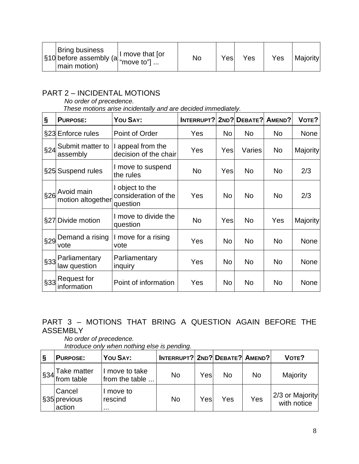| <b>Bring business</b><br>s10 before assembly (a "move to"]<br>main motion) | I move that for<br>No | Yes | Yes | Yes | Majorityl |
|----------------------------------------------------------------------------|-----------------------|-----|-----|-----|-----------|
|----------------------------------------------------------------------------|-----------------------|-----|-----|-----|-----------|

### <span id="page-26-0"></span>PART 2 – INCIDENTAL MOTIONS

*No order of precedence. These motions arise incidentally and are decided immediately.*

| §   | <b>PURPOSE:</b>                             | YOU SAY:                                            | <b>INTERRUPT? 2ND? DEBATE?</b> |           |           | AMEND?         | VOTE?           |
|-----|---------------------------------------------|-----------------------------------------------------|--------------------------------|-----------|-----------|----------------|-----------------|
|     | §23 Enforce rules                           | Point of Order                                      | Yes                            | <b>No</b> | <b>No</b> | <b>No</b>      | <b>None</b>     |
| §24 | Submit matter to<br>assembly                | appeal from the<br>decision of the chair            | Yes                            | Yes       | Varies    | N <sub>o</sub> | <b>Majority</b> |
|     | §25 Suspend rules                           | I move to suspend<br>the rules                      | N <sub>o</sub>                 | Yes       | <b>No</b> | No.            | 2/3             |
| §26 | Avoid main<br>motion altogether             | I object to the<br>consideration of the<br>question | Yes                            | No        | <b>No</b> | <b>No</b>      | 2/3             |
|     | §27 Divide motion                           | I move to divide the<br>question                    | N <sub>o</sub>                 | Yes       | <b>No</b> | Yes            | <b>Majority</b> |
| §29 | Demand a rising<br>vote                     | I move for a rising<br>vote                         | Yes                            | <b>No</b> | <b>No</b> | <b>No</b>      | None            |
| §33 | Parliamentary<br>law question               | Parliamentary<br>inquiry                            | Yes                            | No        | <b>No</b> | N <sub>o</sub> | None            |
|     | ' <sub>§33</sub> Request for<br>information | Point of information                                | Yes                            | No        | <b>No</b> | N <sub>o</sub> | None            |

### <span id="page-26-1"></span>PART 3 – MOTIONS THAT BRING A QUESTION AGAIN BEFORE THE ASSEMBLY

*No order of precedence. Introduce only when nothing else is pending.*

| $\vert$ S | <b>PURPOSE:</b>                  | YOU SAY:                         | <b>INTERRUPT? 2ND? DEBATE? AMEND?</b> |     |     |     | VOTE?                          |
|-----------|----------------------------------|----------------------------------|---------------------------------------|-----|-----|-----|--------------------------------|
| §34       | Take matter<br>from table        | I move to take<br>from the table | No                                    | Yes | No  | No  | Majority                       |
|           | Cancel<br>§35 previous<br>action | I move to<br>rescind<br>.        | No                                    | Yes | Yes | Yes | 2/3 or Majority<br>with notice |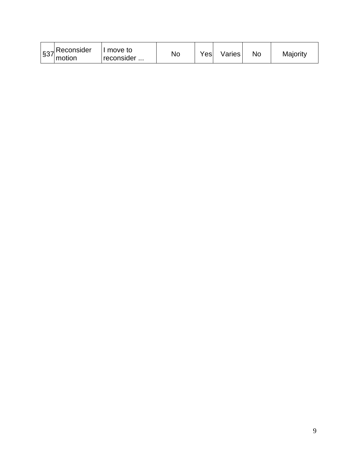|  | $ \$37$ Reconsider<br>motion | move to<br>reconsider | No | Yes | Varies | Nc | Majority |
|--|------------------------------|-----------------------|----|-----|--------|----|----------|
|--|------------------------------|-----------------------|----|-----|--------|----|----------|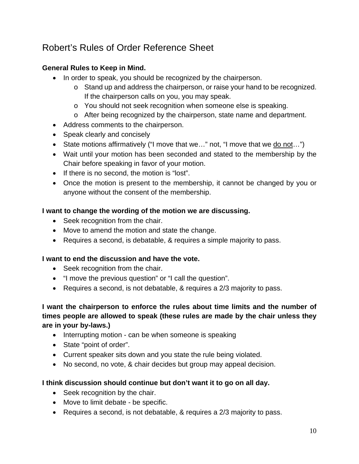### <span id="page-28-0"></span>Robert's Rules of Order Reference Sheet

#### **General Rules to Keep in Mind.**

- In order to speak, you should be recognized by the chairperson.
	- o Stand up and address the chairperson, or raise your hand to be recognized. If the chairperson calls on you, you may speak.
	- o You should not seek recognition when someone else is speaking.
	- o After being recognized by the chairperson, state name and department.
- Address comments to the chairperson.
- Speak clearly and concisely
- State motions affirmatively ("I move that we..." not, "I move that we do not...")
- Wait until your motion has been seconded and stated to the membership by the Chair before speaking in favor of your motion.
- If there is no second, the motion is "lost".
- Once the motion is present to the membership, it cannot be changed by you or anyone without the consent of the membership.

#### **I want to change the wording of the motion we are discussing.**

- Seek recognition from the chair.
- Move to amend the motion and state the change.
- Requires a second, is debatable, & requires a simple majority to pass.

#### **I want to end the discussion and have the vote.**

- Seek recognition from the chair.
- "I move the previous question" or "I call the question".
- Requires a second, is not debatable, & requires a 2/3 majority to pass.

#### **I want the chairperson to enforce the rules about time limits and the number of times people are allowed to speak (these rules are made by the chair unless they are in your by-laws.)**

- Interrupting motion can be when someone is speaking
- State "point of order".
- Current speaker sits down and you state the rule being violated.
- No second, no vote, & chair decides but group may appeal decision.

#### **I think discussion should continue but don't want it to go on all day.**

- Seek recognition by the chair.
- Move to limit debate be specific.
- Requires a second, is not debatable, & requires a 2/3 majority to pass.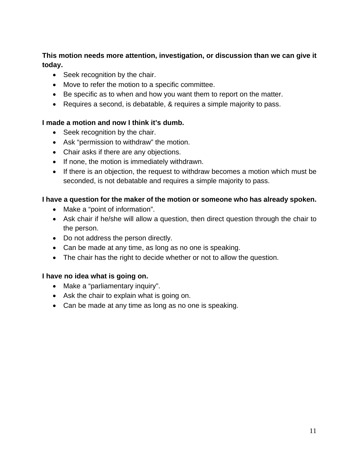#### **This motion needs more attention, investigation, or discussion than we can give it today.**

- Seek recognition by the chair.
- Move to refer the motion to a specific committee.
- Be specific as to when and how you want them to report on the matter.
- Requires a second, is debatable, & requires a simple majority to pass.

#### **I made a motion and now I think it's dumb.**

- Seek recognition by the chair.
- Ask "permission to withdraw" the motion.
- Chair asks if there are any objections.
- If none, the motion is immediately withdrawn.
- If there is an objection, the request to withdraw becomes a motion which must be seconded, is not debatable and requires a simple majority to pass.

#### **I have a question for the maker of the motion or someone who has already spoken.**

- Make a "point of information".
- Ask chair if he/she will allow a question, then direct question through the chair to the person.
- Do not address the person directly.
- Can be made at any time, as long as no one is speaking.
- The chair has the right to decide whether or not to allow the question.

#### **I have no idea what is going on.**

- Make a "parliamentary inquiry".
- Ask the chair to explain what is going on.
- Can be made at any time as long as no one is speaking.